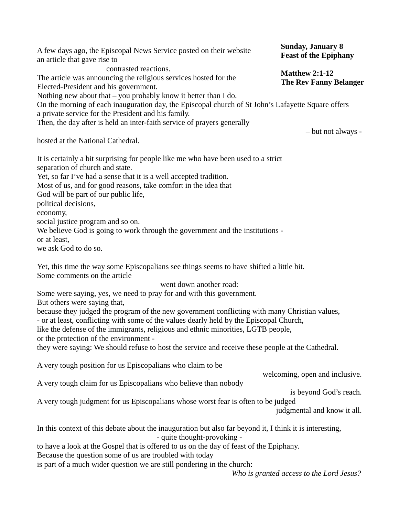A few days ago, the Episcopal News Service posted on their website an article that gave rise to contrasted reactions. The article was announcing the religious services hosted for the Elected-President and his government. Nothing new about that – you probably know it better than I do. On the morning of each inauguration day, the Episcopal church of St John's Lafayette Square offers a private service for the President and his family. Then, the day after is held an inter-faith service of prayers generally – but not always hosted at the National Cathedral. It is certainly a bit surprising for people like me who have been used to a strict separation of church and state. Yet, so far I've had a sense that it is a well accepted tradition. Most of us, and for good reasons, take comfort in the idea that God will be part of our public life, political decisions, economy, social justice program and so on. We believe God is going to work through the government and the institutions or at least, we ask God to do so. Yet, this time the way some Episcopalians see things seems to have shifted a little bit. Some comments on the article went down another road: Some were saying, yes, we need to pray for and with this government. But others were saying that, because they judged the program of the new government conflicting with many Christian values, - or at least, conflicting with some of the values dearly held by the Episcopal Church, like the defense of the immigrants, religious and ethnic minorities, LGTB people, or the protection of the environment they were saying: We should refuse to host the service and receive these people at the Cathedral. A very tough position for us Episcopalians who claim to be welcoming, open and inclusive. A very tough claim for us Episcopalians who believe than nobody is beyond God's reach. A very tough judgment for us Episcopalians whose worst fear is often to be judged judgmental and know it all. In this context of this debate about the inauguration but also far beyond it, I think it is interesting, - quite thought-provoking to have a look at the Gospel that is offered to us on the day of feast of the Epiphany. Because the question some of us are troubled with today is part of a much wider question we are still pondering in the church: *Who is granted access to the Lord Jesus?* **Sunday, January 8 Feast of the Epiphany Matthew 2:1-12 The Rev Fanny Belanger**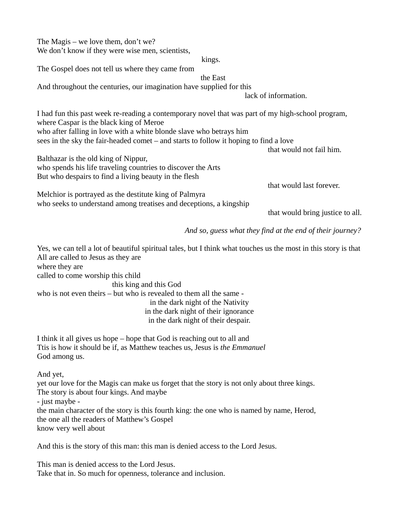The Magis – we love them, don't we? We don't know if they were wise men, scientists,

kings.

the East

The Gospel does not tell us where they came from

And throughout the centuries, our imagination have supplied for this

lack of information.

I had fun this past week re-reading a contemporary novel that was part of my high-school program, where Caspar is the black king of Meroe who after falling in love with a white blonde slave who betrays him sees in the sky the fair-headed comet – and starts to follow it hoping to find a love

that would not fail him.

that would last forever.

Balthazar is the old king of Nippur, who spends his life traveling countries to discover the Arts But who despairs to find a living beauty in the flesh

Melchior is portrayed as the destitute king of Palmyra who seeks to understand among treatises and deceptions, a kingship

that would bring justice to all.

*And so, guess what they find at the end of their journey?*

Yes, we can tell a lot of beautiful spiritual tales, but I think what touches us the most in this story is that All are called to Jesus as they are where they are

called to come worship this child

this king and this God

who is not even theirs – but who is revealed to them all the same in the dark night of the Nativity in the dark night of their ignorance in the dark night of their despair.

I think it all gives us hope – hope that God is reaching out to all and Ttis is how it should be if, as Matthew teaches us, Jesus is *the Emmanuel* God among us.

And yet,

yet our love for the Magis can make us forget that the story is not only about three kings. The story is about four kings. And maybe

- just maybe -

the main character of the story is this fourth king: the one who is named by name, Herod, the one all the readers of Matthew's Gospel know very well about

And this is the story of this man: this man is denied access to the Lord Jesus.

This man is denied access to the Lord Jesus. Take that in. So much for openness, tolerance and inclusion.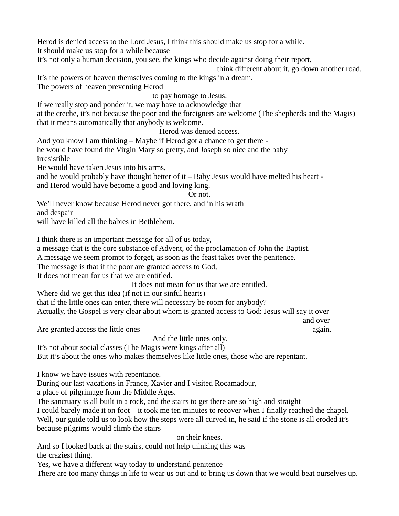Herod is denied access to the Lord Jesus, I think this should make us stop for a while. It should make us stop for a while because

It's not only a human decision, you see, the kings who decide against doing their report,

think different about it, go down another road.

and over

It's the powers of heaven themselves coming to the kings in a dream.

The powers of heaven preventing Herod

to pay homage to Jesus.

If we really stop and ponder it, we may have to acknowledge that

at the creche, it's not because the poor and the foreigners are welcome (The shepherds and the Magis) that it means automatically that anybody is welcome.

Herod was denied access.

And you know I am thinking – Maybe if Herod got a chance to get there -

he would have found the Virgin Mary so pretty, and Joseph so nice and the baby irresistible

He would have taken Jesus into his arms,

and he would probably have thought better of it – Baby Jesus would have melted his heart and Herod would have become a good and loving king.

Or not.

We'll never know because Herod never got there, and in his wrath

and despair

will have killed all the babies in Bethlehem.

I think there is an important message for all of us today,

a message that is the core substance of Advent, of the proclamation of John the Baptist.

A message we seem prompt to forget, as soon as the feast takes over the penitence.

The message is that if the poor are granted access to God,

It does not mean for us that we are entitled.

It does not mean for us that we are entitled.

Where did we get this idea (if not in our sinful hearts)

that if the little ones can enter, there will necessary be room for anybody?

Actually, the Gospel is very clear about whom is granted access to God: Jesus will say it over

Are granted access the little ones again.

And the little ones only.

It's not about social classes (The Magis were kings after all)

But it's about the ones who makes themselves like little ones, those who are repentant.

I know we have issues with repentance.

During our last vacations in France, Xavier and I visited Rocamadour,

a place of pilgrimage from the Middle Ages.

The sanctuary is all built in a rock, and the stairs to get there are so high and straight

I could barely made it on foot – it took me ten minutes to recover when I finally reached the chapel. Well, our guide told us to look how the steps were all curved in, he said if the stone is all eroded it's because pilgrims would climb the stairs

on their knees.

And so I looked back at the stairs, could not help thinking this was the craziest thing.

Yes, we have a different way today to understand penitence

There are too many things in life to wear us out and to bring us down that we would beat ourselves up.